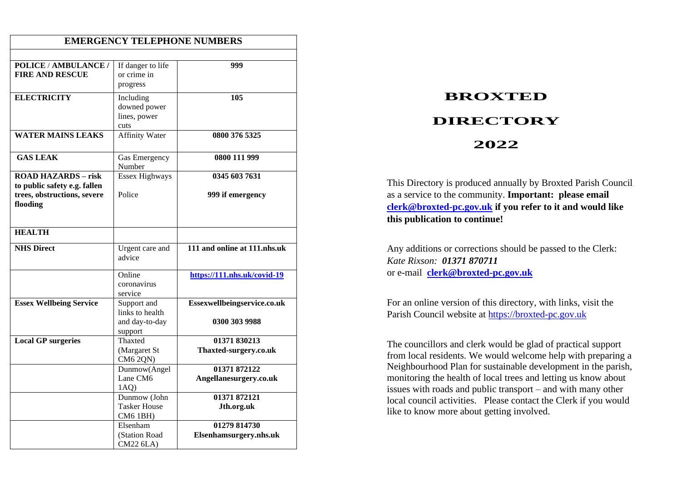| <b>EMERGENCY TELEPHONE NUMBERS</b>                                                        |                                                        |                                        |  |  |
|-------------------------------------------------------------------------------------------|--------------------------------------------------------|----------------------------------------|--|--|
| POLICE / AMBULANCE /                                                                      | If danger to life                                      | 999                                    |  |  |
| <b>FIRE AND RESCUE</b>                                                                    | or crime in<br>progress                                |                                        |  |  |
| <b>ELECTRICITY</b>                                                                        | Including<br>downed power<br>lines, power<br>cuts      | 105                                    |  |  |
| <b>WATER MAINS LEAKS</b>                                                                  | <b>Affinity Water</b>                                  | 0800 376 5325                          |  |  |
| <b>GAS LEAK</b>                                                                           | Gas Emergency<br>Number                                | 0800 111 999                           |  |  |
| <b>ROAD HAZARDS - risk</b><br>to public safety e.g. fallen<br>trees, obstructions, severe | <b>Essex Highways</b><br>Police                        | 0345 603 7631<br>999 if emergency      |  |  |
| flooding                                                                                  |                                                        |                                        |  |  |
| <b>HEALTH</b>                                                                             |                                                        |                                        |  |  |
| <b>NHS Direct</b>                                                                         | Urgent care and<br>advice                              | 111 and online at 111.nhs.uk           |  |  |
|                                                                                           | Online<br>coronavirus<br>service                       | https://111.nhs.uk/covid-19            |  |  |
| <b>Essex Wellbeing Service</b>                                                            | Support and<br>links to health                         | Essexwellbeingservice.co.uk            |  |  |
|                                                                                           | and day-to-day<br>support                              | 0300 303 9988                          |  |  |
| <b>Local GP surgeries</b>                                                                 | Thaxted<br>(Margaret St<br>CM6 2QN)                    | 01371 830213<br>Thaxted-surgery.co.uk  |  |  |
|                                                                                           | Dunmow(Angel<br>Lane CM6<br>$1AQ$ )                    | 01371 872122<br>Angellanesurgery.co.uk |  |  |
|                                                                                           | Dunmow (John<br><b>Tasker House</b><br><b>CM6 1BH)</b> | 01371872121<br>Jth.org.uk              |  |  |
|                                                                                           | Elsenham<br>(Station Road<br>CM22 6LA)                 | 01279 814730<br>Elsenhamsurgery.nhs.uk |  |  |

## **BROXTED DIRECTORY 2022**

This Directory is produced annually by Broxted Parish Council as a service to the community. **Important: please email [clerk@broxted-pc.gov.uk](mailto:clerk@broxted-pc.gov.uk) if you refer to it and would like this publication to continue!**

Any additions or corrections should be passed to the Clerk: *Kate Rixson: 01371 870711* or e-mail**[clerk@broxted-pc.gov.uk](mailto:clerk@broxted-pc.gov.uk)**

For an online version of this directory, with links, visit the Parish Council website at [https://broxted-pc.gov.uk](https://broxted-pc.gov.uk/)

The councillors and clerk would be glad of practical support from local residents. We would welcome help with preparing a Neighbourhood Plan for sustainable development in the parish, monitoring the health of local trees and letting us know about issues with roads and public transport – and with many other local council activities. Please contact the Clerk if you would like to know more about getting involved.